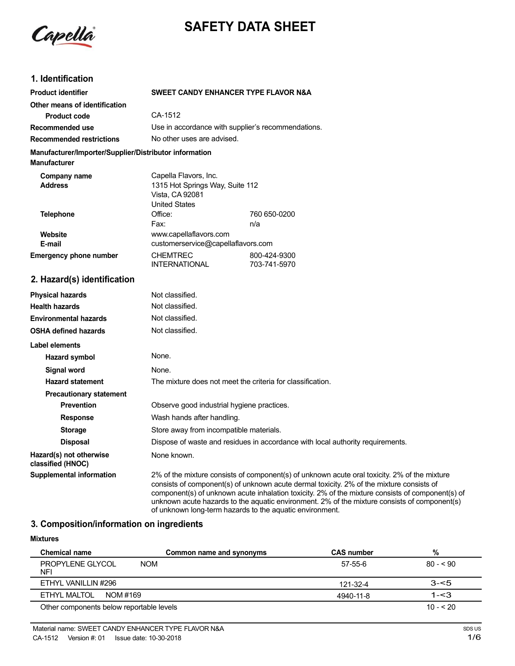Capella

# **SAFETY DATA SHEET**

# **1. Identification**

| <b>Product identifier</b>                                                     |                                                                                  | SWEET CANDY ENHANCER TYPE FLAVOR N&A               |  |
|-------------------------------------------------------------------------------|----------------------------------------------------------------------------------|----------------------------------------------------|--|
| Other means of identification                                                 |                                                                                  |                                                    |  |
| <b>Product code</b>                                                           | CA-1512                                                                          |                                                    |  |
| Recommended use                                                               |                                                                                  | Use in accordance with supplier's recommendations. |  |
| <b>Recommended restrictions</b>                                               |                                                                                  | No other uses are advised.                         |  |
| Manufacturer/Importer/Supplier/Distributor information<br><b>Manufacturer</b> |                                                                                  |                                                    |  |
| Company name                                                                  | Capella Flavors, Inc.                                                            |                                                    |  |
| <b>Address</b>                                                                | 1315 Hot Springs Way, Suite 112                                                  |                                                    |  |
|                                                                               | Vista, CA 92081                                                                  |                                                    |  |
|                                                                               | <b>United States</b>                                                             |                                                    |  |
| <b>Telephone</b>                                                              | Office:                                                                          | 760 650-0200                                       |  |
|                                                                               | Fax:                                                                             | n/a                                                |  |
| Website                                                                       | www.capellaflavors.com                                                           |                                                    |  |
| E-mail                                                                        | customerservice@capellaflavors.com                                               |                                                    |  |
| <b>Emergency phone number</b>                                                 | <b>CHEMTREC</b>                                                                  | 800-424-9300                                       |  |
|                                                                               | INTERNATIONAL                                                                    | 703-741-5970                                       |  |
| 2. Hazard(s) identification                                                   |                                                                                  |                                                    |  |
| <b>Physical hazards</b>                                                       | Not classified.                                                                  |                                                    |  |
| <b>Health hazards</b>                                                         | Not classified.                                                                  |                                                    |  |
|                                                                               | $\mathbf{A}$ and $\mathbf{A}$ and $\mathbf{A}$ and $\mathbf{A}$ and $\mathbf{A}$ |                                                    |  |

| <b>Environmental hazards</b>                 | Not classified.                                                                                                                                                                                                                                                                                                                                                                              |
|----------------------------------------------|----------------------------------------------------------------------------------------------------------------------------------------------------------------------------------------------------------------------------------------------------------------------------------------------------------------------------------------------------------------------------------------------|
| <b>OSHA defined hazards</b>                  | Not classified.                                                                                                                                                                                                                                                                                                                                                                              |
| Label elements                               |                                                                                                                                                                                                                                                                                                                                                                                              |
| Hazard symbol                                | None.                                                                                                                                                                                                                                                                                                                                                                                        |
| Signal word                                  | None.                                                                                                                                                                                                                                                                                                                                                                                        |
| <b>Hazard statement</b>                      | The mixture does not meet the criteria for classification.                                                                                                                                                                                                                                                                                                                                   |
| <b>Precautionary statement</b>               |                                                                                                                                                                                                                                                                                                                                                                                              |
| <b>Prevention</b>                            | Observe good industrial hygiene practices.                                                                                                                                                                                                                                                                                                                                                   |
| <b>Response</b>                              | Wash hands after handling.                                                                                                                                                                                                                                                                                                                                                                   |
| <b>Storage</b>                               | Store away from incompatible materials.                                                                                                                                                                                                                                                                                                                                                      |
| <b>Disposal</b>                              | Dispose of waste and residues in accordance with local authority requirements.                                                                                                                                                                                                                                                                                                               |
| Hazard(s) not otherwise<br>classified (HNOC) | None known.                                                                                                                                                                                                                                                                                                                                                                                  |
| Supplemental information                     | 2% of the mixture consists of component(s) of unknown acute oral toxicity. 2% of the mixture<br>consists of component(s) of unknown acute dermal toxicity. 2% of the mixture consists of<br>component(s) of unknown acute inhalation toxicity. 2% of the mixture consists of component(s) of<br>unknown acute hazards to the aquatic environment. 2% of the mixture consists of component(s) |

of unknown long-term hazards to the aquatic environment.

# **3. Composition/information on ingredients**

| <b>Mixtures</b>                          |                          |                   |           |
|------------------------------------------|--------------------------|-------------------|-----------|
| <b>Chemical name</b>                     | Common name and synonyms | <b>CAS number</b> | %         |
| PROPYLENE GLYCOL<br><b>NOM</b><br>NFI    |                          | 57-55-6           | $80 - 90$ |
| ETHYL VANILLIN #296                      |                          | 121-32-4          | $3 - 5$   |
| ETHYL MALTOL<br>NOM #169                 |                          | 4940-11-8         | $1 - 3$   |
| Other components below reportable levels |                          |                   | $10 - 20$ |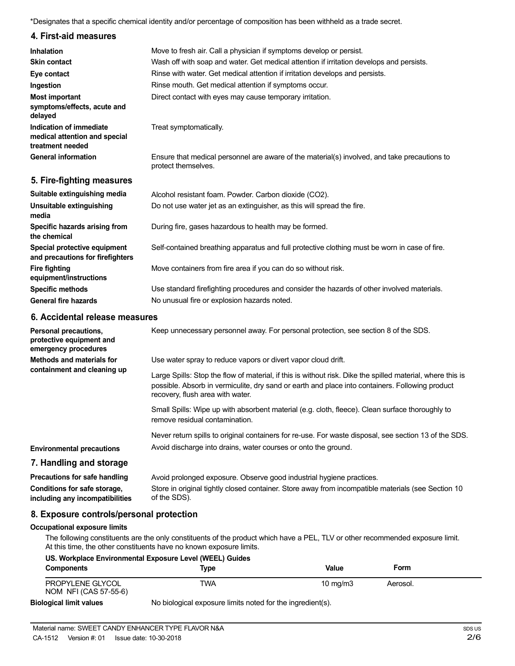\*Designates that a specific chemical identity and/or percentage of composition has been withheld as a trade secret.

### **4. First-aid measures**

| <b>Inhalation</b><br><b>Skin contact</b>                                     | Move to fresh air. Call a physician if symptoms develop or persist.<br>Wash off with soap and water. Get medical attention if irritation develops and persists. |
|------------------------------------------------------------------------------|-----------------------------------------------------------------------------------------------------------------------------------------------------------------|
| Eye contact                                                                  | Rinse with water. Get medical attention if irritation develops and persists.                                                                                    |
| Ingestion                                                                    | Rinse mouth. Get medical attention if symptoms occur.                                                                                                           |
| <b>Most important</b><br>symptoms/effects, acute and<br>delayed              | Direct contact with eyes may cause temporary irritation.                                                                                                        |
| Indication of immediate<br>medical attention and special<br>treatment needed | Treat symptomatically.                                                                                                                                          |
| <b>General information</b>                                                   | Ensure that medical personnel are aware of the material(s) involved, and take precautions to<br>protect themselves.                                             |

#### **5. Fire-fighting measures**

| Suitable extinguishing media<br>Unsuitable extinguishing<br>media | Alcohol resistant foam. Powder. Carbon dioxide (CO2).<br>Do not use water jet as an extinguisher, as this will spread the fire.           |
|-------------------------------------------------------------------|-------------------------------------------------------------------------------------------------------------------------------------------|
| Specific hazards arising from<br>the chemical                     | During fire, gases hazardous to health may be formed.                                                                                     |
| Special protective equipment<br>and precautions for firefighters  | Self-contained breathing apparatus and full protective clothing must be worn in case of fire.                                             |
| <b>Fire fighting</b><br>equipment/instructions                    | Move containers from fire area if you can do so without risk.                                                                             |
| <b>Specific methods</b><br><b>General fire hazards</b>            | Use standard firefighting procedures and consider the hazards of other involved materials.<br>No unusual fire or explosion hazards noted. |

#### **6. Accidental release measures**

| Personal precautions,<br>protective equipment and<br>emergency procedures | Keep unnecessary personnel away. For personal protection, see section 8 of the SDS.                                                                                                                                                               |
|---------------------------------------------------------------------------|---------------------------------------------------------------------------------------------------------------------------------------------------------------------------------------------------------------------------------------------------|
| Methods and materials for<br>containment and cleaning up                  | Use water spray to reduce vapors or divert vapor cloud drift.                                                                                                                                                                                     |
|                                                                           | Large Spills: Stop the flow of material, if this is without risk. Dike the spilled material, where this is<br>possible. Absorb in vermiculite, dry sand or earth and place into containers. Following product<br>recovery, flush area with water. |
|                                                                           | Small Spills: Wipe up with absorbent material (e.g. cloth, fleece). Clean surface thoroughly to<br>remove residual contamination.                                                                                                                 |
|                                                                           | Never return spills to original containers for re-use. For waste disposal, see section 13 of the SDS.                                                                                                                                             |
| <b>Environmental precautions</b>                                          | Avoid discharge into drains, water courses or onto the ground.                                                                                                                                                                                    |
| 7. Handling and storage                                                   |                                                                                                                                                                                                                                                   |
| Precautions for safe handling                                             | Avoid prolonged exposure. Observe good industrial hygiene practices.                                                                                                                                                                              |
| Conditions for safe storage,<br>including any incompatibilities           | Store in original tightly closed container. Store away from incompatible materials (see Section 10<br>of the SDS).                                                                                                                                |

## **8. Exposure controls/personal protection**

#### **Occupational exposure limits**

The following constituents are the only constituents of the product which have a PEL, TLV or other recommended exposure limit. At this time, the other constituents have no known exposure limits.

#### **US. Workplace Environmental Exposure Level (WEEL) Guides**

| <b>Components</b>                         | Type                                                       | Value      | Form     |  |
|-------------------------------------------|------------------------------------------------------------|------------|----------|--|
| PROPYLENE GLYCOL<br>NOM NFI (CAS 57-55-6) | TWA                                                        | 10 $ma/m3$ | Aerosol. |  |
| <b>Biological limit values</b>            | No biological exposure limits noted for the ingredient(s). |            |          |  |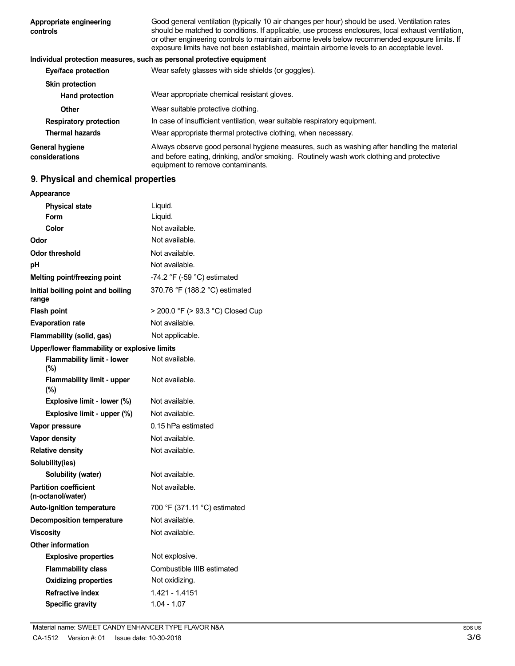| Appropriate engineering<br>controls | Good general ventilation (typically 10 air changes per hour) should be used. Ventilation rates<br>should be matched to conditions. If applicable, use process enclosures, local exhaust ventilation,<br>or other engineering controls to maintain airborne levels below recommended exposure limits. If<br>exposure limits have not been established, maintain airborne levels to an acceptable level. |
|-------------------------------------|--------------------------------------------------------------------------------------------------------------------------------------------------------------------------------------------------------------------------------------------------------------------------------------------------------------------------------------------------------------------------------------------------------|
|                                     | Individual protection measures, such as personal protective equipment                                                                                                                                                                                                                                                                                                                                  |
| Eye/face protection                 | Wear safety glasses with side shields (or goggles).                                                                                                                                                                                                                                                                                                                                                    |
| <b>Skin protection</b>              |                                                                                                                                                                                                                                                                                                                                                                                                        |
| <b>Hand protection</b>              | Wear appropriate chemical resistant gloves.                                                                                                                                                                                                                                                                                                                                                            |
| <b>Other</b>                        | Wear suitable protective clothing.                                                                                                                                                                                                                                                                                                                                                                     |
| <b>Respiratory protection</b>       | In case of insufficient ventilation, wear suitable respiratory equipment.                                                                                                                                                                                                                                                                                                                              |
| <b>Thermal hazards</b>              | Wear appropriate thermal protective clothing, when necessary.                                                                                                                                                                                                                                                                                                                                          |
| General hygiene<br>considerations   | Always observe good personal hygiene measures, such as washing after handling the material<br>and before eating, drinking, and/or smoking. Routinely wash work clothing and protective<br>equipment to remove contaminants.                                                                                                                                                                            |

# **9. Physical and chemical properties**

| Appearance                                        |                                               |
|---------------------------------------------------|-----------------------------------------------|
| <b>Physical state</b>                             | Liquid.                                       |
| Form                                              | Liquid.                                       |
| Color                                             | Not available.                                |
| Odor                                              | Not available.                                |
| Odor threshold                                    | Not available.                                |
| рH                                                | Not available.                                |
| Melting point/freezing point                      | -74.2 $\degree$ F (-59 $\degree$ C) estimated |
| Initial boiling point and boiling<br>range        | 370.76 °F (188.2 °C) estimated                |
| <b>Flash point</b>                                | > 200.0 °F (> 93.3 °C) Closed Cup             |
| <b>Evaporation rate</b>                           | Not available.                                |
| Flammability (solid, gas)                         | Not applicable.                               |
| Upper/lower flammability or explosive limits      |                                               |
| <b>Flammability limit - lower</b><br>$(\% )$      | Not available.                                |
| <b>Flammability limit - upper</b><br>$(\%)$       | Not available.                                |
| Explosive limit - lower (%)                       | Not available.                                |
| Explosive limit - upper (%)                       | Not available.                                |
| Vapor pressure                                    | 0.15 hPa estimated                            |
| Vapor density                                     | Not available.                                |
| <b>Relative density</b>                           | Not available.                                |
| Solubility(ies)                                   |                                               |
| Solubility (water)                                | Not available.                                |
| <b>Partition coefficient</b><br>(n-octanol/water) | Not available.                                |
| <b>Auto-ignition temperature</b>                  | 700 °F (371.11 °C) estimated                  |
| <b>Decomposition temperature</b>                  | Not available.                                |
| <b>Viscositv</b>                                  | Not available.                                |
| <b>Other information</b>                          |                                               |
| <b>Explosive properties</b>                       | Not explosive.                                |
| <b>Flammability class</b>                         | Combustible IIIB estimated                    |
| <b>Oxidizing properties</b>                       | Not oxidizing.                                |
| <b>Refractive index</b>                           | 1.421 - 1.4151                                |
| <b>Specific gravity</b>                           | $1.04 - 1.07$                                 |
|                                                   |                                               |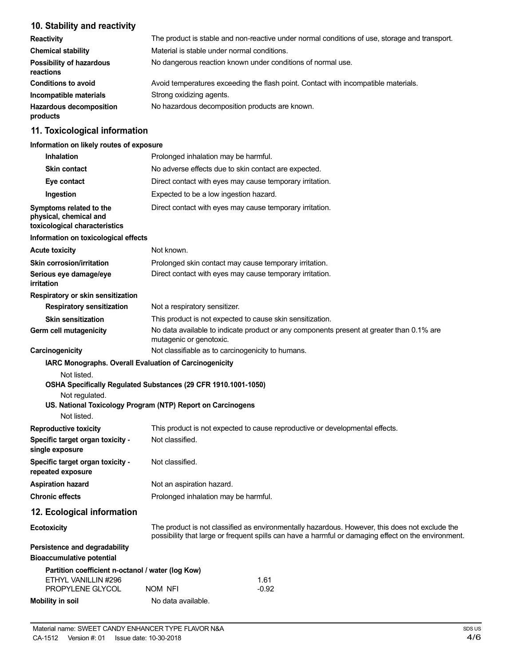# **10. Stability and reactivity**

| <b>Reactivity</b>                            | The product is stable and non-reactive under normal conditions of use, storage and transport. |
|----------------------------------------------|-----------------------------------------------------------------------------------------------|
| <b>Chemical stability</b>                    | Material is stable under normal conditions.                                                   |
| <b>Possibility of hazardous</b><br>reactions | No dangerous reaction known under conditions of normal use.                                   |
| <b>Conditions to avoid</b>                   | Avoid temperatures exceeding the flash point. Contact with incompatible materials.            |
| Incompatible materials                       | Strong oxidizing agents.                                                                      |
| <b>Hazardous decomposition</b><br>products   | No hazardous decomposition products are known.                                                |

# **11. Toxicological information**

#### **Information on likely routes of exposure**

| <b>Inhalation</b>                                                                  | Prolonged inhalation may be harmful.                                                                                                                                                                  |  |
|------------------------------------------------------------------------------------|-------------------------------------------------------------------------------------------------------------------------------------------------------------------------------------------------------|--|
| <b>Skin contact</b>                                                                | No adverse effects due to skin contact are expected.                                                                                                                                                  |  |
| Eye contact                                                                        | Direct contact with eyes may cause temporary irritation.                                                                                                                                              |  |
| Ingestion                                                                          | Expected to be a low ingestion hazard.                                                                                                                                                                |  |
| Symptoms related to the<br>physical, chemical and<br>toxicological characteristics | Direct contact with eyes may cause temporary irritation.                                                                                                                                              |  |
| Information on toxicological effects                                               |                                                                                                                                                                                                       |  |
| <b>Acute toxicity</b>                                                              | Not known.                                                                                                                                                                                            |  |
| <b>Skin corrosion/irritation</b>                                                   | Prolonged skin contact may cause temporary irritation.                                                                                                                                                |  |
| Serious eye damage/eye<br>irritation                                               | Direct contact with eyes may cause temporary irritation.                                                                                                                                              |  |
| Respiratory or skin sensitization                                                  |                                                                                                                                                                                                       |  |
| <b>Respiratory sensitization</b>                                                   | Not a respiratory sensitizer.                                                                                                                                                                         |  |
| <b>Skin sensitization</b><br>Germ cell mutagenicity                                | This product is not expected to cause skin sensitization.<br>No data available to indicate product or any components present at greater than 0.1% are<br>mutagenic or genotoxic.                      |  |
| Carcinogenicity                                                                    | Not classifiable as to carcinogenicity to humans.                                                                                                                                                     |  |
| Not listed.<br>Not regulated.<br>Not listed.                                       | OSHA Specifically Regulated Substances (29 CFR 1910.1001-1050)<br>US. National Toxicology Program (NTP) Report on Carcinogens                                                                         |  |
| <b>Reproductive toxicity</b>                                                       | This product is not expected to cause reproductive or developmental effects.                                                                                                                          |  |
| Specific target organ toxicity -<br>single exposure                                | Not classified.                                                                                                                                                                                       |  |
| Specific target organ toxicity -<br>repeated exposure                              | Not classified.                                                                                                                                                                                       |  |
| <b>Aspiration hazard</b>                                                           | Not an aspiration hazard.                                                                                                                                                                             |  |
| <b>Chronic effects</b>                                                             | Prolonged inhalation may be harmful.                                                                                                                                                                  |  |
| 12. Ecological information                                                         |                                                                                                                                                                                                       |  |
| <b>Ecotoxicity</b>                                                                 | The product is not classified as environmentally hazardous. However, this does not exclude the<br>possibility that large or frequent spills can have a harmful or damaging effect on the environment. |  |
| Persistence and degradability<br><b>Bioaccumulative potential</b>                  |                                                                                                                                                                                                       |  |
| Partition coefficient n-octanol / water (log Kow)<br>ETHYL VANILLIN #296           | 1.61                                                                                                                                                                                                  |  |
| PROPYLENE GLYCOL                                                                   | NOM NFI<br>$-0.92$                                                                                                                                                                                    |  |
| <b>Mobility in soil</b>                                                            | No data available.                                                                                                                                                                                    |  |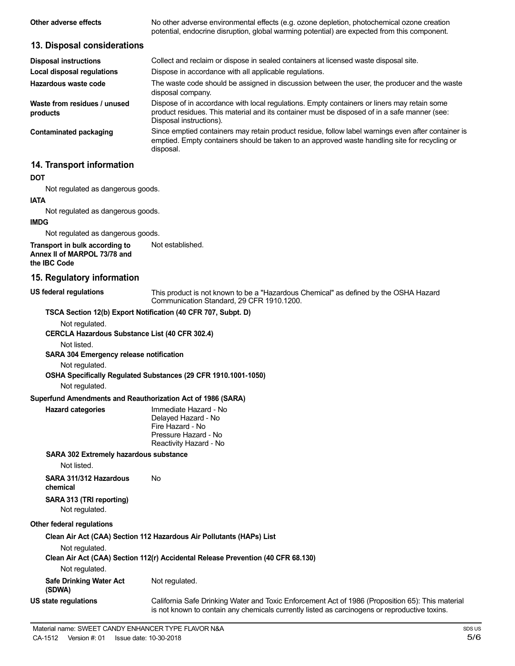| Other adverse effects                                                                 | No other adverse environmental effects (e.g. ozone depletion, photochemical ozone creation<br>potential, endocrine disruption, global warming potential) are expected from this component.                             |
|---------------------------------------------------------------------------------------|------------------------------------------------------------------------------------------------------------------------------------------------------------------------------------------------------------------------|
| 13. Disposal considerations                                                           |                                                                                                                                                                                                                        |
| <b>Disposal instructions</b><br><b>Local disposal regulations</b>                     | Collect and reclaim or dispose in sealed containers at licensed waste disposal site.<br>Dispose in accordance with all applicable regulations.                                                                         |
| Hazardous waste code                                                                  | The waste code should be assigned in discussion between the user, the producer and the waste<br>disposal company.                                                                                                      |
| Waste from residues / unused<br>products                                              | Dispose of in accordance with local regulations. Empty containers or liners may retain some<br>product residues. This material and its container must be disposed of in a safe manner (see:<br>Disposal instructions). |
| <b>Contaminated packaging</b>                                                         | Since emptied containers may retain product residue, follow label warnings even after container is<br>emptied. Empty containers should be taken to an approved waste handling site for recycling or<br>disposal.       |
| 14. Transport information                                                             |                                                                                                                                                                                                                        |
| <b>DOT</b>                                                                            |                                                                                                                                                                                                                        |
| Not regulated as dangerous goods.                                                     |                                                                                                                                                                                                                        |
| <b>IATA</b>                                                                           |                                                                                                                                                                                                                        |
| Not regulated as dangerous goods.                                                     |                                                                                                                                                                                                                        |
| <b>IMDG</b>                                                                           |                                                                                                                                                                                                                        |
| Not regulated as dangerous goods.                                                     |                                                                                                                                                                                                                        |
| Transport in bulk according to<br>Annex II of MARPOL 73/78 and<br>the <b>IBC</b> Code | Not established.                                                                                                                                                                                                       |
| 15. Regulatory information                                                            |                                                                                                                                                                                                                        |
| <b>US federal regulations</b>                                                         | This product is not known to be a "Hazardous Chemical" as defined by the OSHA Hazard<br>Communication Standard, 29 CFR 1910.1200.                                                                                      |
|                                                                                       | TSCA Section 12(b) Export Notification (40 CFR 707, Subpt. D)                                                                                                                                                          |
| Not regulated.<br>CERCLA Hazardous Substance List (40 CFR 302.4)                      |                                                                                                                                                                                                                        |
| Not listed.                                                                           |                                                                                                                                                                                                                        |
| SARA 304 Emergency release notification                                               |                                                                                                                                                                                                                        |
| Not regulated.                                                                        |                                                                                                                                                                                                                        |
|                                                                                       | OSHA Specifically Regulated Substances (29 CFR 1910.1001-1050)                                                                                                                                                         |
| Not regulated.                                                                        |                                                                                                                                                                                                                        |
| Superfund Amendments and Reauthorization Act of 1986 (SARA)                           |                                                                                                                                                                                                                        |

| Immediate Hazard - No  |
|------------------------|
|                        |
| Delayed Hazard - No    |
| Fire Hazard - No       |
| Pressure Hazard - No   |
| Reactivity Hazard - No |
|                        |

#### **SARA 302 Extremely hazardous substance**

Not listed.

**Hazard categories** 

**SARA 311/312 Hazardous** No **chemical SARA 313 (TRI reporting)**

Not regulated.

#### **Other federal regulations**

**Clean Air Act (CAA) Section 112 Hazardous Air Pollutants (HAPs) List**

Not regulated.

**Clean Air Act (CAA) Section 112(r) Accidental Release Prevention (40 CFR 68.130)** Not regulated.

**Safe Drinking Water Act (SDWA) US state regulations** Not regulated.

California Safe Drinking Water and Toxic Enforcement Act of 1986 (Proposition 65): This material is not known to contain any chemicals currently listed as carcinogens or reproductive toxins.